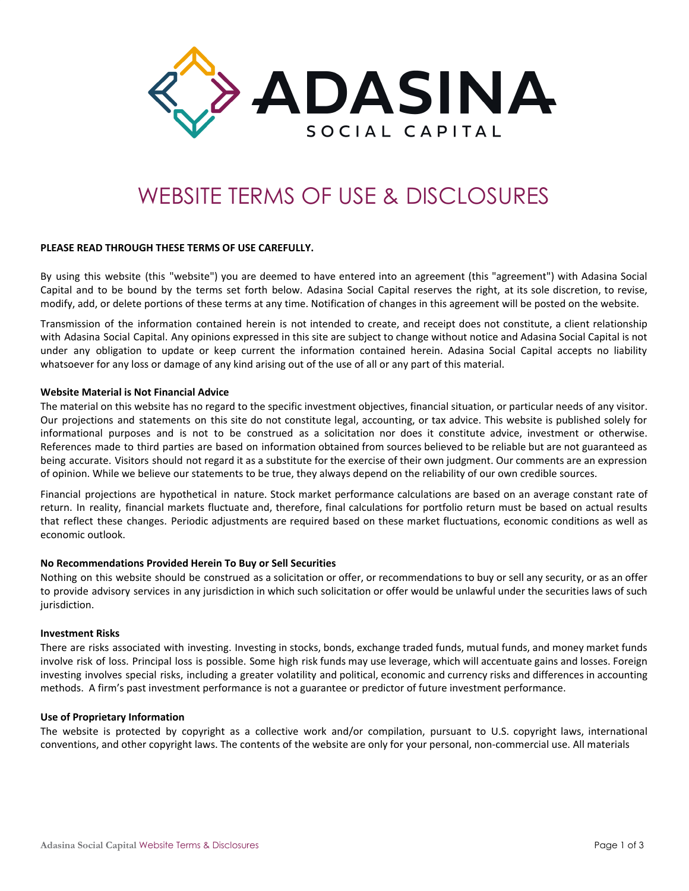

# WEBSITE TERMS OF USE & DISCLOSURES

# **PLEASE READ THROUGH THESE TERMS OF USE CAREFULLY.**

By using this website (this "website") you are deemed to have entered into an agreement (this "agreement") with Adasina Social Capital and to be bound by the terms set forth below. Adasina Social Capital reserves the right, at its sole discretion, to revise, modify, add, or delete portions of these terms at any time. Notification of changes in this agreement will be posted on the website.

Transmission of the information contained herein is not intended to create, and receipt does not constitute, a client relationship with Adasina Social Capital. Any opinions expressed in this site are subject to change without notice and Adasina Social Capital is not under any obligation to update or keep current the information contained herein. Adasina Social Capital accepts no liability whatsoever for any loss or damage of any kind arising out of the use of all or any part of this material.

#### **Website Material is Not Financial Advice**

The material on this website has no regard to the specific investment objectives, financial situation, or particular needs of any visitor. Our projections and statements on this site do not constitute legal, accounting, or tax advice. This website is published solely for informational purposes and is not to be construed as a solicitation nor does it constitute advice, investment or otherwise. References made to third parties are based on information obtained from sources believed to be reliable but are not guaranteed as being accurate. Visitors should not regard it as a substitute for the exercise of their own judgment. Our comments are an expression of opinion. While we believe our statements to be true, they always depend on the reliability of our own credible sources.

Financial projections are hypothetical in nature. Stock market performance calculations are based on an average constant rate of return. In reality, financial markets fluctuate and, therefore, final calculations for portfolio return must be based on actual results that reflect these changes. Periodic adjustments are required based on these market fluctuations, economic conditions as well as economic outlook.

# **No Recommendations Provided Herein To Buy or Sell Securities**

Nothing on this website should be construed as a solicitation or offer, or recommendations to buy or sell any security, or as an offer to provide advisory services in any jurisdiction in which such solicitation or offer would be unlawful under the securities laws of such jurisdiction.

#### **Investment Risks**

There are risks associated with investing. Investing in stocks, bonds, exchange traded funds, mutual funds, and money market funds involve risk of loss. Principal loss is possible. Some high risk funds may use leverage, which will accentuate gains and losses. Foreign investing involves special risks, including a greater volatility and political, economic and currency risks and differences in accounting methods. A firm's past investment performance is not a guarantee or predictor of future investment performance.

#### **Use of Proprietary Information**

The website is protected by copyright as a collective work and/or compilation, pursuant to U.S. copyright laws, international conventions, and other copyright laws. The contents of the website are only for your personal, non-commercial use. All materials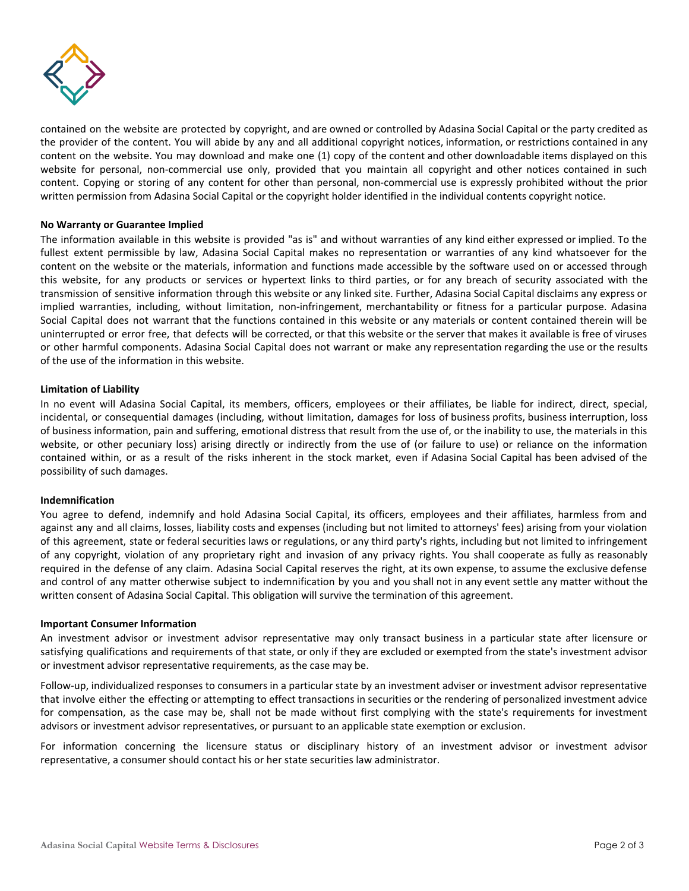

contained on the website are protected by copyright, and are owned or controlled by Adasina Social Capital or the party credited as the provider of the content. You will abide by any and all additional copyright notices, information, or restrictions contained in any content on the website. You may download and make one (1) copy of the content and other downloadable items displayed on this website for personal, non-commercial use only, provided that you maintain all copyright and other notices contained in such content. Copying or storing of any content for other than personal, non-commercial use is expressly prohibited without the prior written permission from Adasina Social Capital or the copyright holder identified in the individual contents copyright notice.

# **No Warranty or Guarantee Implied**

The information available in this website is provided "as is" and without warranties of any kind either expressed or implied. To the fullest extent permissible by law, Adasina Social Capital makes no representation or warranties of any kind whatsoever for the content on the website or the materials, information and functions made accessible by the software used on or accessed through this website, for any products or services or hypertext links to third parties, or for any breach of security associated with the transmission of sensitive information through this website or any linked site. Further, Adasina Social Capital disclaims any express or implied warranties, including, without limitation, non-infringement, merchantability or fitness for a particular purpose. Adasina Social Capital does not warrant that the functions contained in this website or any materials or content contained therein will be uninterrupted or error free, that defects will be corrected, or that this website or the server that makes it available is free of viruses or other harmful components. Adasina Social Capital does not warrant or make any representation regarding the use or the results of the use of the information in this website.

# **Limitation of Liability**

In no event will Adasina Social Capital, its members, officers, employees or their affiliates, be liable for indirect, direct, special, incidental, or consequential damages (including, without limitation, damages for loss of business profits, business interruption, loss of business information, pain and suffering, emotional distress that result from the use of, or the inability to use, the materials in this website, or other pecuniary loss) arising directly or indirectly from the use of (or failure to use) or reliance on the information contained within, or as a result of the risks inherent in the stock market, even if Adasina Social Capital has been advised of the possibility of such damages.

# **Indemnification**

You agree to defend, indemnify and hold Adasina Social Capital, its officers, employees and their affiliates, harmless from and against any and all claims, losses, liability costs and expenses (including but not limited to attorneys' fees) arising from your violation of this agreement, state or federal securities laws or regulations, or any third party's rights, including but not limited to infringement of any copyright, violation of any proprietary right and invasion of any privacy rights. You shall cooperate as fully as reasonably required in the defense of any claim. Adasina Social Capital reserves the right, at its own expense, to assume the exclusive defense and control of any matter otherwise subject to indemnification by you and you shall not in any event settle any matter without the written consent of Adasina Social Capital. This obligation will survive the termination of this agreement.

# **Important Consumer Information**

An investment advisor or investment advisor representative may only transact business in a particular state after licensure or satisfying qualifications and requirements of that state, or only if they are excluded or exempted from the state's investment advisor or investment advisor representative requirements, as the case may be.

Follow-up, individualized responses to consumers in a particular state by an investment adviser or investment advisor representative that involve either the effecting or attempting to effect transactions in securities or the rendering of personalized investment advice for compensation, as the case may be, shall not be made without first complying with the state's requirements for investment advisors or investment advisor representatives, or pursuant to an applicable state exemption or exclusion.

For information concerning the licensure status or disciplinary history of an investment advisor or investment advisor representative, a consumer should contact his or her state securities law administrator.